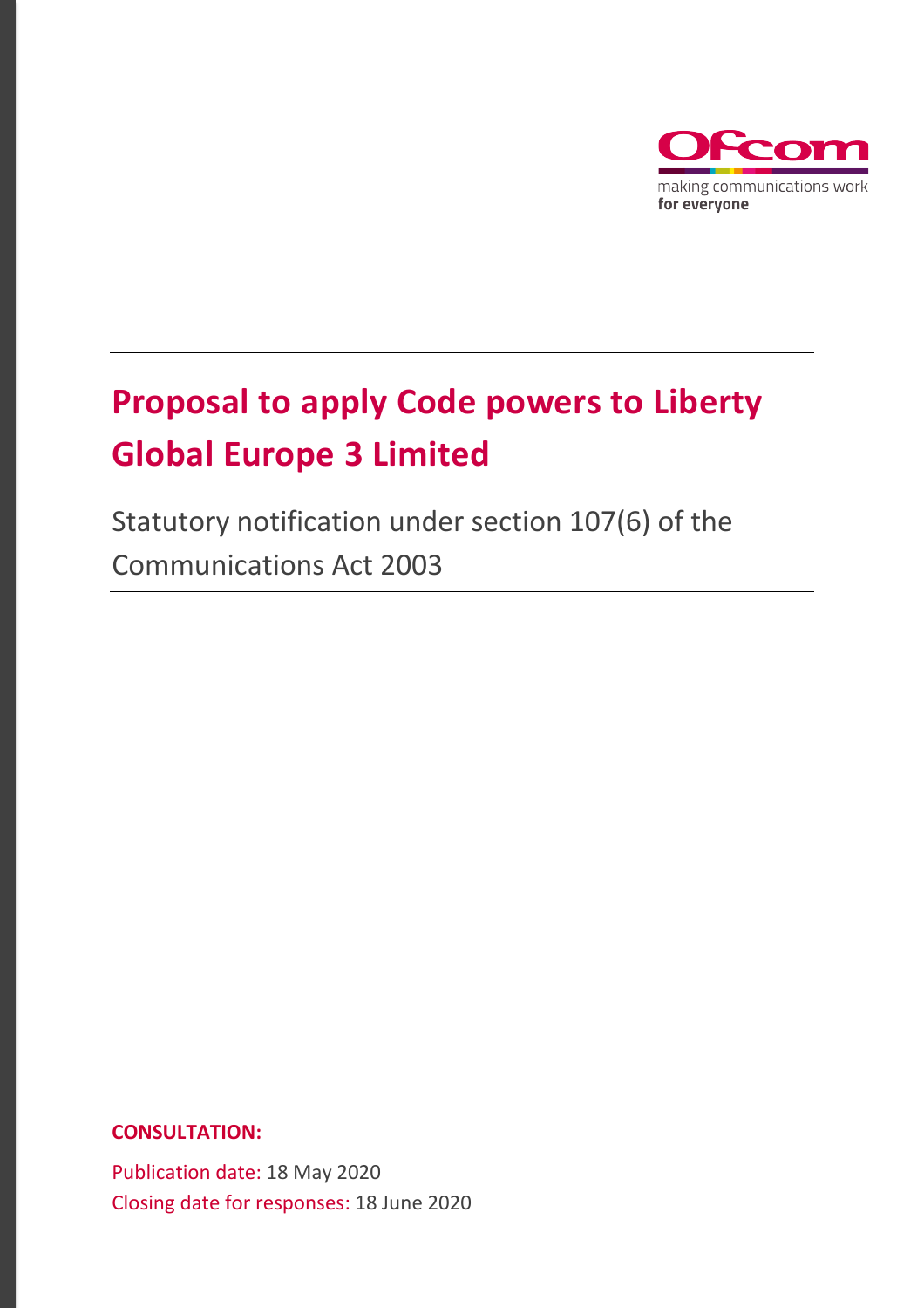

# **Proposal to apply Code powers to Liberty Global Europe 3 Limited**

Statutory notification under section 107(6) of the Communications Act 2003

**CONSULTATION:**

Publication date: 18 May 2020 Closing date for responses: 18 June 2020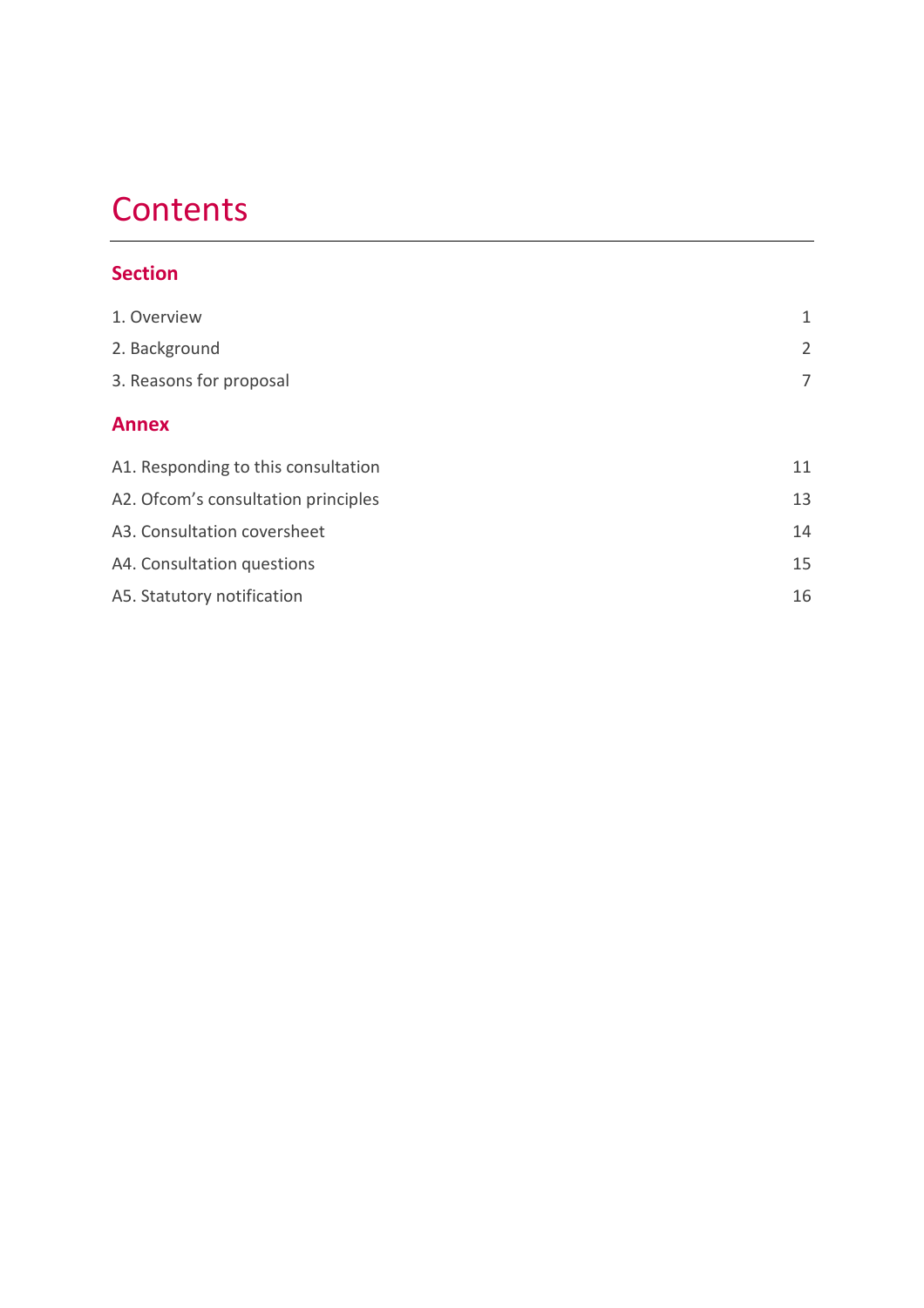# **Contents**

## **Section**

| 1. Overview                         | 1              |
|-------------------------------------|----------------|
| 2. Background                       | $\overline{2}$ |
| 3. Reasons for proposal             | 7              |
| <b>Annex</b>                        |                |
| A1. Responding to this consultation | 11             |
| A2. Ofcom's consultation principles | 13             |
| A3. Consultation coversheet         | 14             |
| A4. Consultation questions          | 15             |
| A5. Statutory notification          | 16             |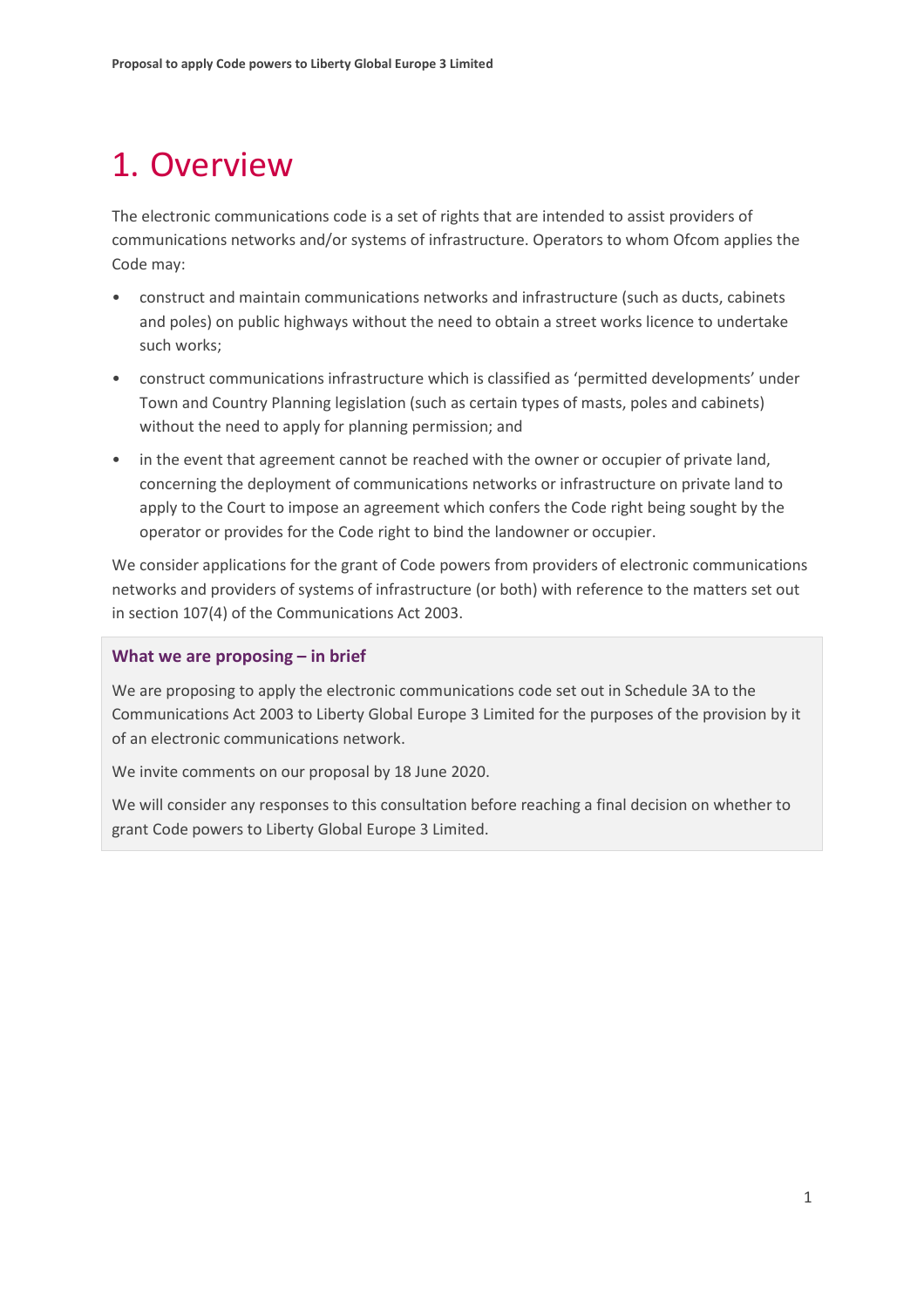# <span id="page-2-0"></span>1. Overview

The electronic communications code is a set of rights that are intended to assist providers of communications networks and/or systems of infrastructure. Operators to whom Ofcom applies the Code may:

- construct and maintain communications networks and infrastructure (such as ducts, cabinets and poles) on public highways without the need to obtain a street works licence to undertake such works;
- construct communications infrastructure which is classified as 'permitted developments' under Town and Country Planning legislation (such as certain types of masts, poles and cabinets) without the need to apply for planning permission; and
- in the event that agreement cannot be reached with the owner or occupier of private land, concerning the deployment of communications networks or infrastructure on private land to apply to the Court to impose an agreement which confers the Code right being sought by the operator or provides for the Code right to bind the landowner or occupier.

We consider applications for the grant of Code powers from providers of electronic communications networks and providers of systems of infrastructure (or both) with reference to the matters set out in section 107(4) of the Communications Act 2003.

#### **What we are proposing – in brief**

We are proposing to apply the electronic communications code set out in Schedule 3A to the Communications Act 2003 to Liberty Global Europe 3 Limited for the purposes of the provision by it of an electronic communications network.

We invite comments on our proposal by 18 June 2020.

We will consider any responses to this consultation before reaching a final decision on whether to grant Code powers to Liberty Global Europe 3 Limited.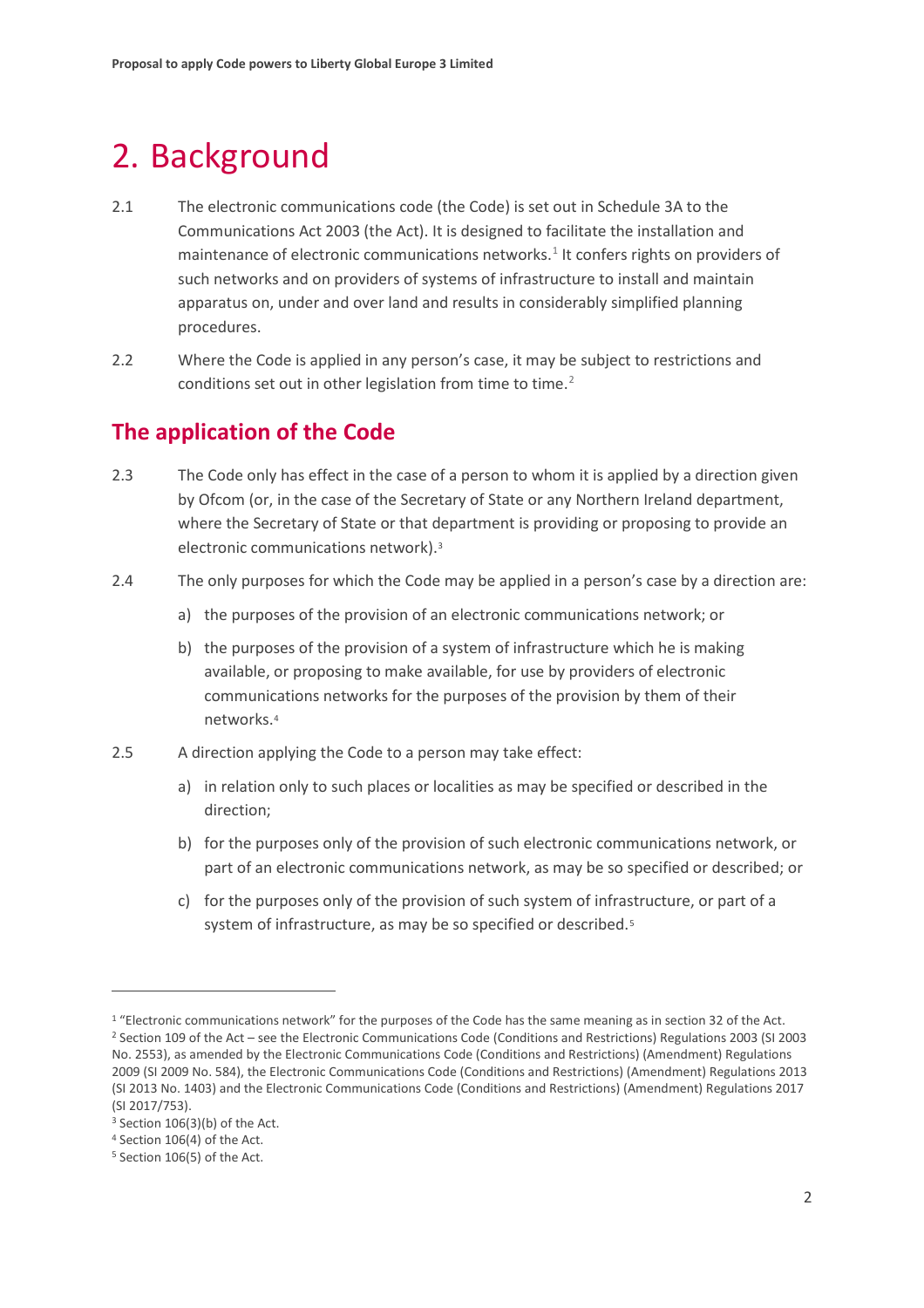# <span id="page-3-0"></span>2. Background

- 2.1 The electronic communications code (the Code) is set out in Schedule 3A to the Communications Act 2003 (the Act). It is designed to facilitate the installation and maintenance of electronic communications networks.<sup>[1](#page-3-1)</sup> It confers rights on providers of such networks and on providers of systems of infrastructure to install and maintain apparatus on, under and over land and results in considerably simplified planning procedures.
- 2.2 Where the Code is applied in any person's case, it may be subject to restrictions and conditions set out in other legislation from time to time.<sup>[2](#page-3-2)</sup>

## **The application of the Code**

- 2.3 The Code only has effect in the case of a person to whom it is applied by a direction given by Ofcom (or, in the case of the Secretary of State or any Northern Ireland department, where the Secretary of State or that department is providing or proposing to provide an electronic communications network).[3](#page-3-3)
- 2.4 The only purposes for which the Code may be applied in a person's case by a direction are:
	- a) the purposes of the provision of an electronic communications network; or
	- b) the purposes of the provision of a system of infrastructure which he is making available, or proposing to make available, for use by providers of electronic communications networks for the purposes of the provision by them of their networks.[4](#page-3-4)
- 2.5 A direction applying the Code to a person may take effect:
	- a) in relation only to such places or localities as may be specified or described in the direction;
	- b) for the purposes only of the provision of such electronic communications network, or part of an electronic communications network, as may be so specified or described; or
	- c) for the purposes only of the provision of such system of infrastructure, or part of a system of infrastructure, as may be so specified or described.<sup>[5](#page-3-5)</sup>

<span id="page-3-2"></span><span id="page-3-1"></span><sup>&</sup>lt;sup>1</sup> "Electronic communications network" for the purposes of the Code has the same meaning as in section 32 of the Act. <sup>2</sup> Section 109 of the Act – see the Electronic Communications Code (Conditions and Restrictions) Regulations 2003 (SI 2003 No. 2553), as amended by the Electronic Communications Code (Conditions and Restrictions) (Amendment) Regulations 2009 (SI 2009 No. 584), the Electronic Communications Code (Conditions and Restrictions) (Amendment) Regulations 2013 (SI 2013 No. 1403) and the Electronic Communications Code (Conditions and Restrictions) (Amendment) Regulations 2017 (SI 2017/753).

<span id="page-3-3"></span> $3$  Section 106(3)(b) of the Act.

<span id="page-3-4"></span><sup>4</sup> Section 106(4) of the Act.

<span id="page-3-5"></span><sup>5</sup> Section 106(5) of the Act.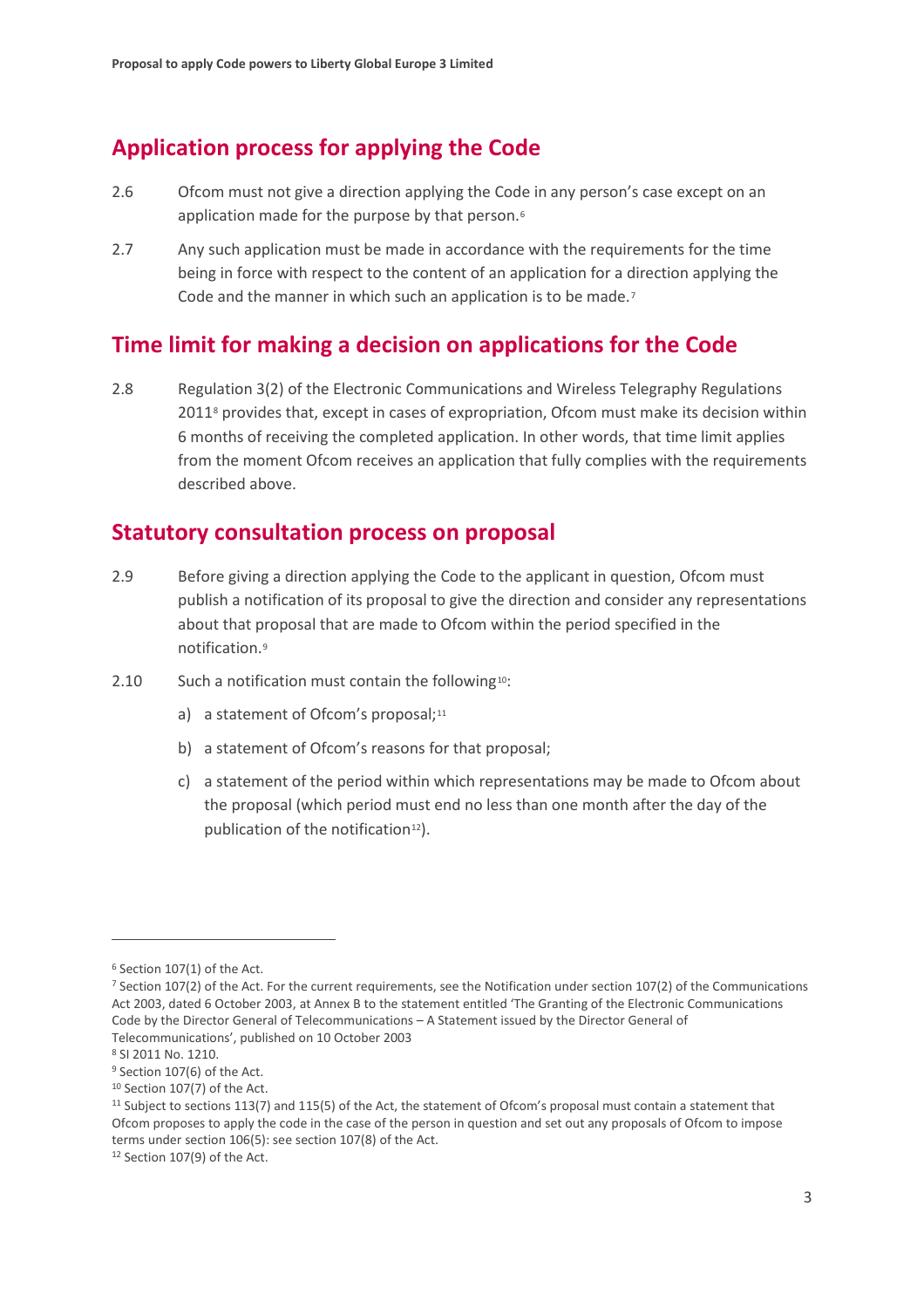## **Application process for applying the Code**

- 2.6 Ofcom must not give a direction applying the Code in any person's case except on an application made for the purpose by that person.<sup>[6](#page-4-0)</sup>
- 2.7 Any such application must be made in accordance with the requirements for the time being in force with respect to the content of an application for a direction applying the Code and the manner in which such an application is to be made.<sup>[7](#page-4-1)</sup>

## **Time limit for making a decision on applications for the Code**

2.8 Regulation 3(2) of the Electronic Communications and Wireless Telegraphy Regulations 201[18](#page-4-2) provides that, except in cases of expropriation, Ofcom must make its decision within 6 months of receiving the completed application. In other words, that time limit applies from the moment Ofcom receives an application that fully complies with the requirements described above.

## **Statutory consultation process on proposal**

- 2.9 Before giving a direction applying the Code to the applicant in question, Ofcom must publish a notification of its proposal to give the direction and consider any representations about that proposal that are made to Ofcom within the period specified in the notification.[9](#page-4-3)
- 2.[10](#page-4-4) Such a notification must contain the following<sup>10</sup>:
	- a) a statement of Ofcom's proposal;<sup>[11](#page-4-5)</sup>
	- b) a statement of Ofcom's reasons for that proposal;
	- c) a statement of the period within which representations may be made to Ofcom about the proposal (which period must end no less than one month after the day of the publication of the notification<sup>[12](#page-4-6)</sup>).

<span id="page-4-0"></span><sup>6</sup> Section 107(1) of the Act.

<span id="page-4-1"></span><sup>7</sup> Section 107(2) of the Act. For the current requirements, see the Notification under section 107(2) of the Communications Act 2003, dated 6 October 2003, at Annex B to the statement entitled 'The Granting of the Electronic Communications Code by the Director General of Telecommunications – A Statement issued by the Director General of Telecommunications', published on 10 October 2003

<span id="page-4-2"></span><sup>8</sup> SI 2011 No. 1210.

<span id="page-4-3"></span><sup>&</sup>lt;sup>9</sup> Section 107(6) of the Act.

<span id="page-4-4"></span><sup>10</sup> Section 107(7) of the Act.

<span id="page-4-5"></span><sup>&</sup>lt;sup>11</sup> Subject to sections 113(7) and 115(5) of the Act, the statement of Ofcom's proposal must contain a statement that Ofcom proposes to apply the code in the case of the person in question and set out any proposals of Ofcom to impose terms under section 106(5): see section 107(8) of the Act.

<span id="page-4-6"></span><sup>12</sup> Section 107(9) of the Act.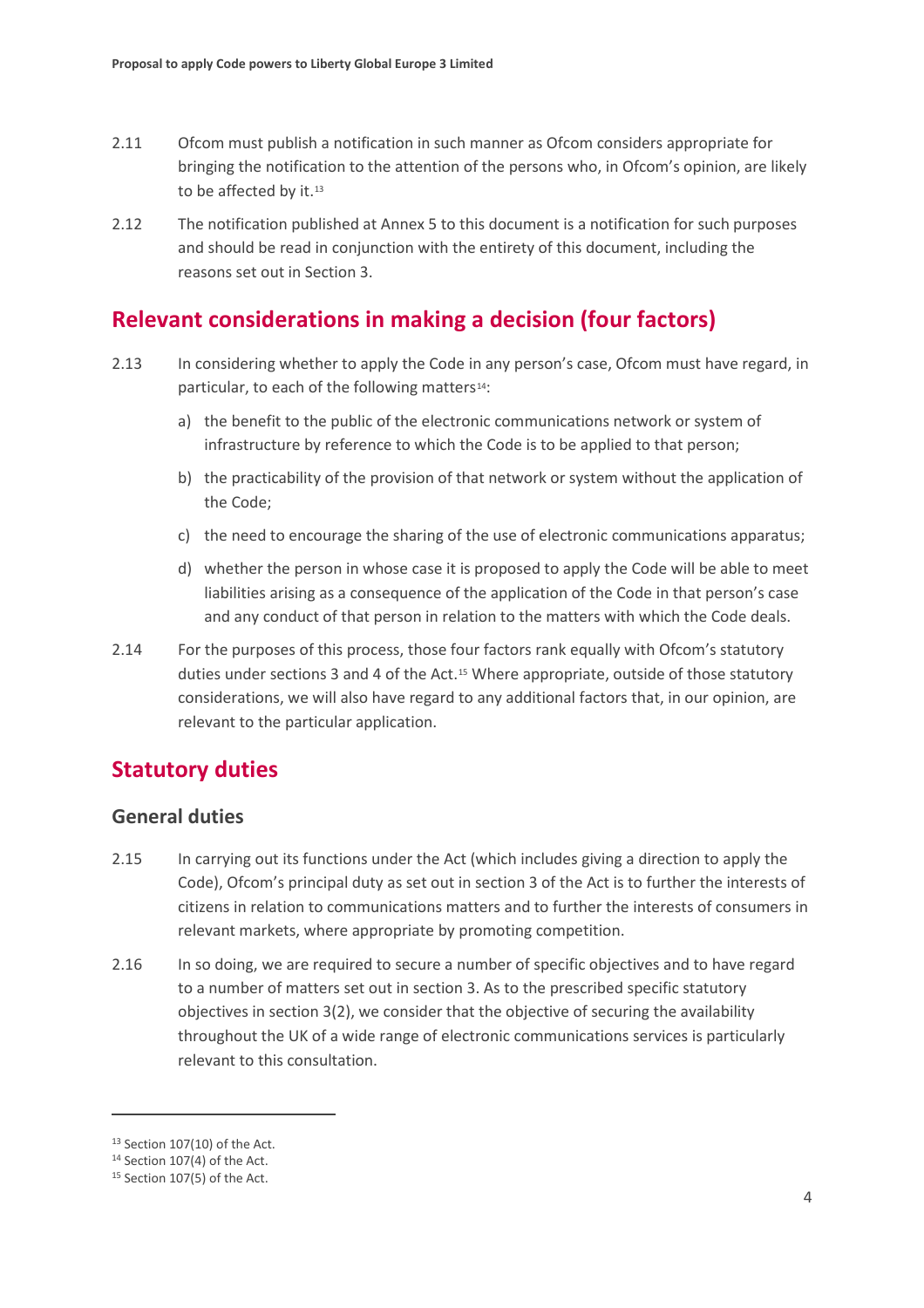- 2.11 Ofcom must publish a notification in such manner as Ofcom considers appropriate for bringing the notification to the attention of the persons who, in Ofcom's opinion, are likely to be affected by it.<sup>[13](#page-5-0)</sup>
- 2.12 The notification published at Annex 5 to this document is a notification for such purposes and should be read in conjunction with the entirety of this document, including the reasons set out in Section 3.

## **Relevant considerations in making a decision (four factors)**

- 2.13 In considering whether to apply the Code in any person's case, Ofcom must have regard, in particular, to each of the following matters<sup>[14](#page-5-1)</sup>:
	- a) the benefit to the public of the electronic communications network or system of infrastructure by reference to which the Code is to be applied to that person;
	- b) the practicability of the provision of that network or system without the application of the Code;
	- c) the need to encourage the sharing of the use of electronic communications apparatus;
	- d) whether the person in whose case it is proposed to apply the Code will be able to meet liabilities arising as a consequence of the application of the Code in that person's case and any conduct of that person in relation to the matters with which the Code deals.
- 2.14 For the purposes of this process, those four factors rank equally with Ofcom's statutory duties under sections 3 and 4 of the Act.<sup>[15](#page-5-2)</sup> Where appropriate, outside of those statutory considerations, we will also have regard to any additional factors that, in our opinion, are relevant to the particular application.

## **Statutory duties**

### **General duties**

- 2.15 In carrying out its functions under the Act (which includes giving a direction to apply the Code), Ofcom's principal duty as set out in section 3 of the Act is to further the interests of citizens in relation to communications matters and to further the interests of consumers in relevant markets, where appropriate by promoting competition.
- 2.16 In so doing, we are required to secure a number of specific objectives and to have regard to a number of matters set out in section 3. As to the prescribed specific statutory objectives in section 3(2), we consider that the objective of securing the availability throughout the UK of a wide range of electronic communications services is particularly relevant to this consultation.

<span id="page-5-0"></span><sup>13</sup> Section 107(10) of the Act.

<span id="page-5-1"></span><sup>14</sup> Section 107(4) of the Act.

<span id="page-5-2"></span><sup>15</sup> Section 107(5) of the Act.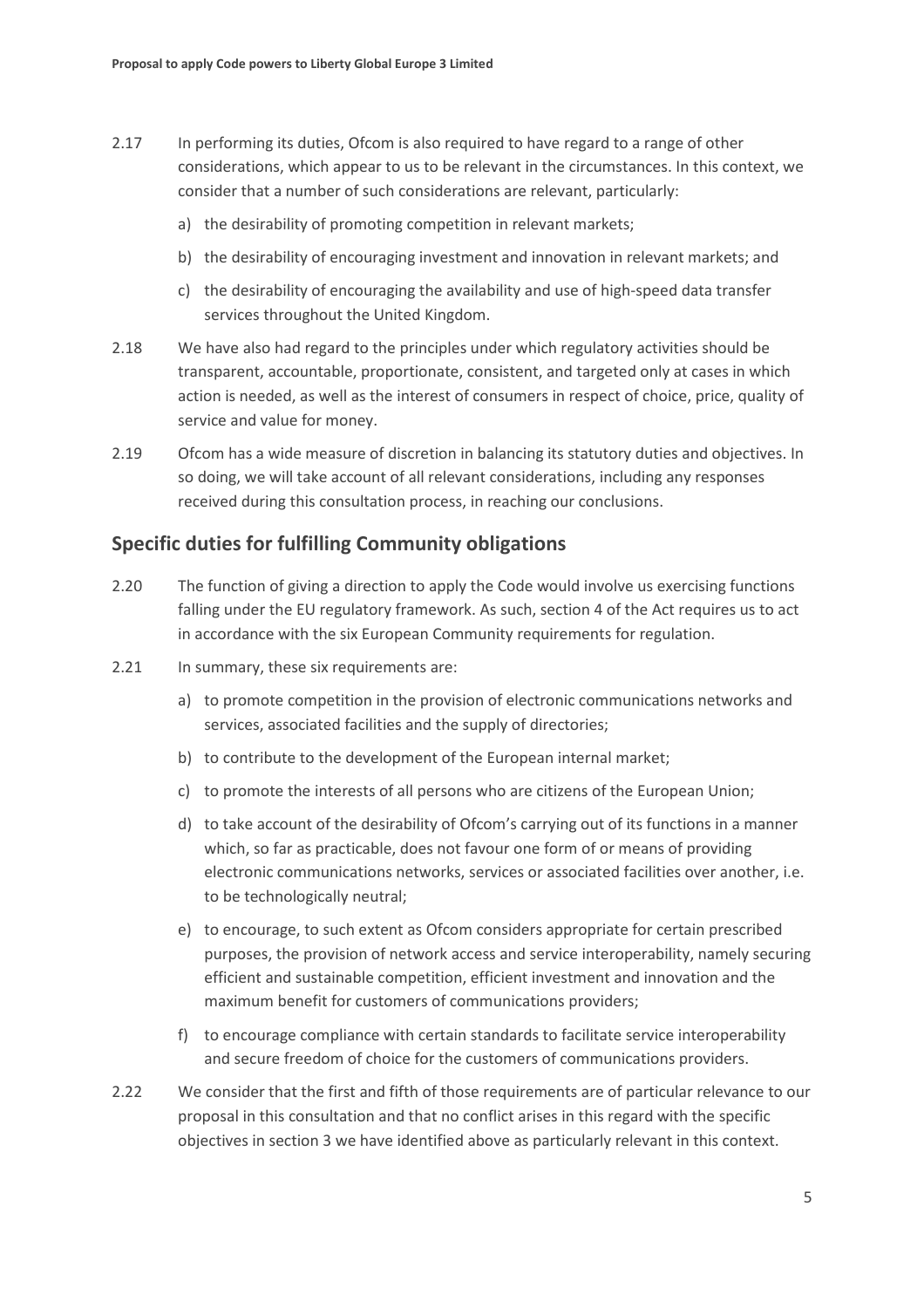- 2.17 In performing its duties, Ofcom is also required to have regard to a range of other considerations, which appear to us to be relevant in the circumstances. In this context, we consider that a number of such considerations are relevant, particularly:
	- a) the desirability of promoting competition in relevant markets;
	- b) the desirability of encouraging investment and innovation in relevant markets; and
	- c) the desirability of encouraging the availability and use of high-speed data transfer services throughout the United Kingdom.
- 2.18 We have also had regard to the principles under which regulatory activities should be transparent, accountable, proportionate, consistent, and targeted only at cases in which action is needed, as well as the interest of consumers in respect of choice, price, quality of service and value for money.
- 2.19 Ofcom has a wide measure of discretion in balancing its statutory duties and objectives. In so doing, we will take account of all relevant considerations, including any responses received during this consultation process, in reaching our conclusions.

### **Specific duties for fulfilling Community obligations**

- 2.20 The function of giving a direction to apply the Code would involve us exercising functions falling under the EU regulatory framework. As such, section 4 of the Act requires us to act in accordance with the six European Community requirements for regulation.
- 2.21 In summary, these six requirements are:
	- a) to promote competition in the provision of electronic communications networks and services, associated facilities and the supply of directories;
	- b) to contribute to the development of the European internal market;
	- c) to promote the interests of all persons who are citizens of the European Union;
	- d) to take account of the desirability of Ofcom's carrying out of its functions in a manner which, so far as practicable, does not favour one form of or means of providing electronic communications networks, services or associated facilities over another, i.e. to be technologically neutral;
	- e) to encourage, to such extent as Ofcom considers appropriate for certain prescribed purposes, the provision of network access and service interoperability, namely securing efficient and sustainable competition, efficient investment and innovation and the maximum benefit for customers of communications providers;
	- f) to encourage compliance with certain standards to facilitate service interoperability and secure freedom of choice for the customers of communications providers.
- 2.22 We consider that the first and fifth of those requirements are of particular relevance to our proposal in this consultation and that no conflict arises in this regard with the specific objectives in section 3 we have identified above as particularly relevant in this context.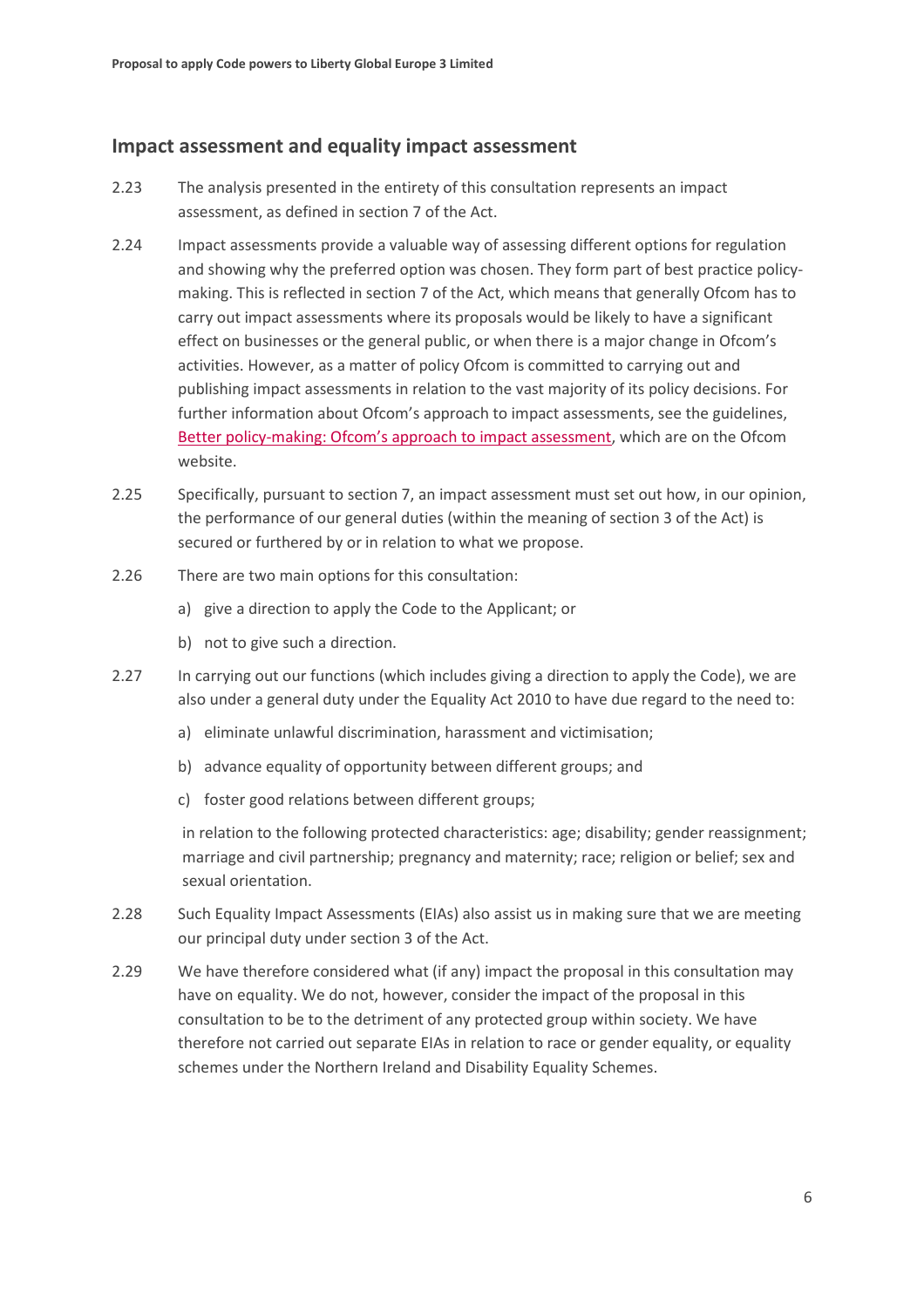### **Impact assessment and equality impact assessment**

- 2.23 The analysis presented in the entirety of this consultation represents an impact assessment, as defined in section 7 of the Act.
- 2.24 Impact assessments provide a valuable way of assessing different options for regulation and showing why the preferred option was chosen. They form part of best practice policymaking. This is reflected in section 7 of the Act, which means that generally Ofcom has to carry out impact assessments where its proposals would be likely to have a significant effect on businesses or the general public, or when there is a major change in Ofcom's activities. However, as a matter of policy Ofcom is committed to carrying out and publishing impact assessments in relation to the vast majority of its policy decisions. For further information about Ofcom's approach to impact assessments, see the guidelines, [Better policy-making: Ofcom's approach to impact assessment,](http://www.ofcom.org.uk/consult/policy_making/guidelines.pdf) which are on the Ofcom website.
- 2.25 Specifically, pursuant to section 7, an impact assessment must set out how, in our opinion, the performance of our general duties (within the meaning of section 3 of the Act) is secured or furthered by or in relation to what we propose.
- 2.26 There are two main options for this consultation:
	- a) give a direction to apply the Code to the Applicant; or
	- b) not to give such a direction.
- 2.27 In carrying out our functions (which includes giving a direction to apply the Code), we are also under a general duty under the Equality Act 2010 to have due regard to the need to:
	- a) eliminate unlawful discrimination, harassment and victimisation;
	- b) advance equality of opportunity between different groups; and
	- c) foster good relations between different groups;

in relation to the following protected characteristics: age; disability; gender reassignment; marriage and civil partnership; pregnancy and maternity; race; religion or belief; sex and sexual orientation.

- 2.28 Such Equality Impact Assessments (EIAs) also assist us in making sure that we are meeting our principal duty under section 3 of the Act.
- 2.29 We have therefore considered what (if any) impact the proposal in this consultation may have on equality. We do not, however, consider the impact of the proposal in this consultation to be to the detriment of any protected group within society. We have therefore not carried out separate EIAs in relation to race or gender equality, or equality schemes under the Northern Ireland and Disability Equality Schemes.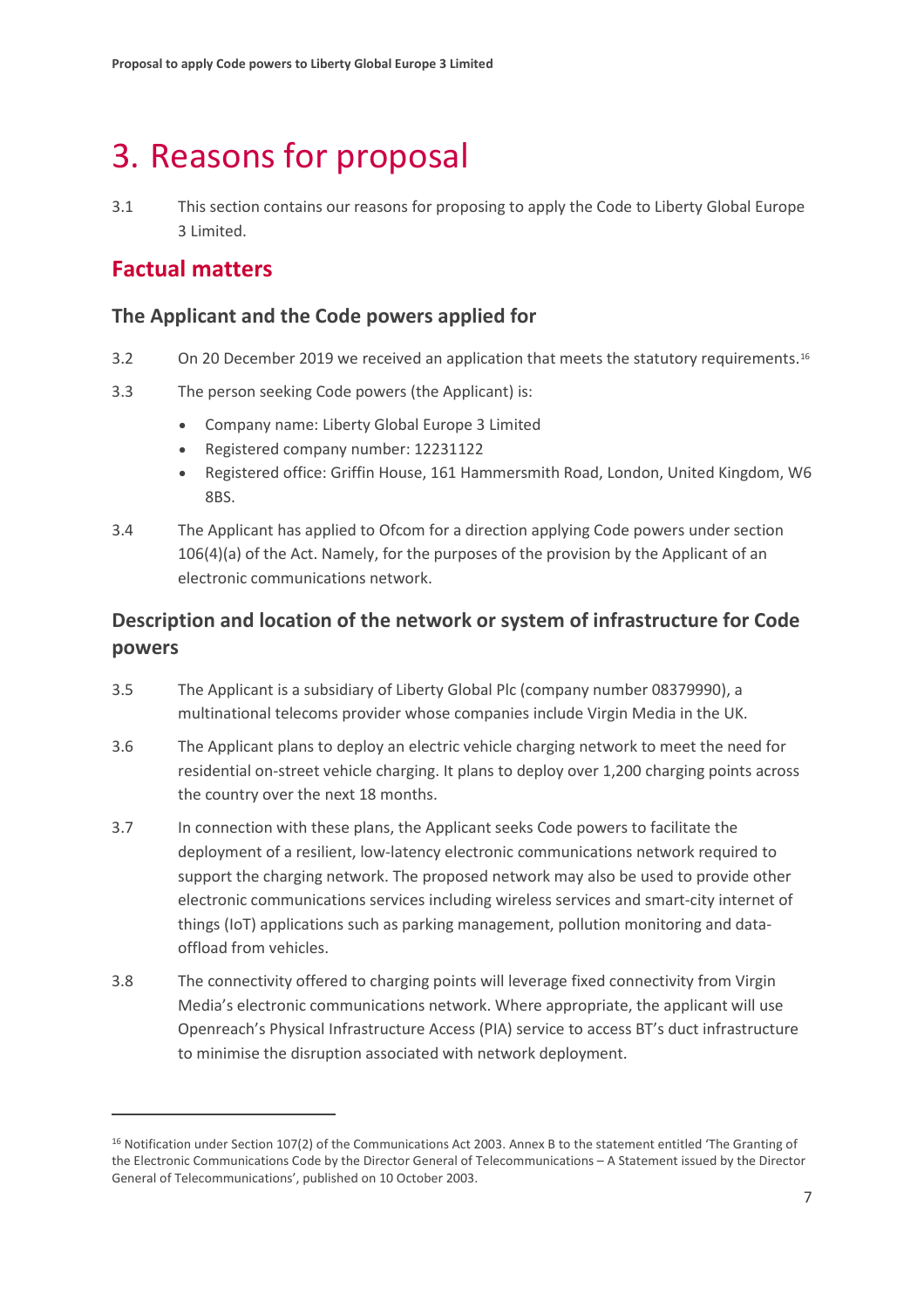# <span id="page-8-0"></span>3. Reasons for proposal

3.1 This section contains our reasons for proposing to apply the Code to Liberty Global Europe 3 Limited.

## **Factual matters**

### **The Applicant and the Code powers applied for**

- 3.2 On 20 December 2019 we received an application that meets the statutory requirements.<sup>[16](#page-8-1)</sup>
- 3.3 The person seeking Code powers (the Applicant) is:
	- Company name: Liberty Global Europe 3 Limited
	- Registered company number: 12231122
	- Registered office: Griffin House, 161 Hammersmith Road, London, United Kingdom, W6 8BS.
- 3.4 The Applicant has applied to Ofcom for a direction applying Code powers under section 106(4)(a) of the Act. Namely, for the purposes of the provision by the Applicant of an electronic communications network.

## **Description and location of the network or system of infrastructure for Code powers**

- 3.5 The Applicant is a subsidiary of Liberty Global Plc (company number 08379990), a multinational telecoms provider whose companies include Virgin Media in the UK.
- 3.6 The Applicant plans to deploy an electric vehicle charging network to meet the need for residential on-street vehicle charging. It plans to deploy over 1,200 charging points across the country over the next 18 months.
- 3.7 In connection with these plans, the Applicant seeks Code powers to facilitate the deployment of a resilient, low-latency electronic communications network required to support the charging network. The proposed network may also be used to provide other electronic communications services including wireless services and smart-city internet of things (IoT) applications such as parking management, pollution monitoring and dataoffload from vehicles.
- 3.8 The connectivity offered to charging points will leverage fixed connectivity from Virgin Media's electronic communications network. Where appropriate, the applicant will use Openreach's Physical Infrastructure Access (PIA) service to access BT's duct infrastructure to minimise the disruption associated with network deployment.

<span id="page-8-1"></span><sup>16</sup> Notification under Section 107(2) of the Communications Act 2003. Annex B to the statement entitled 'The Granting of the Electronic Communications Code by the Director General of Telecommunications – A Statement issued by the Director General of Telecommunications', published on 10 October 2003.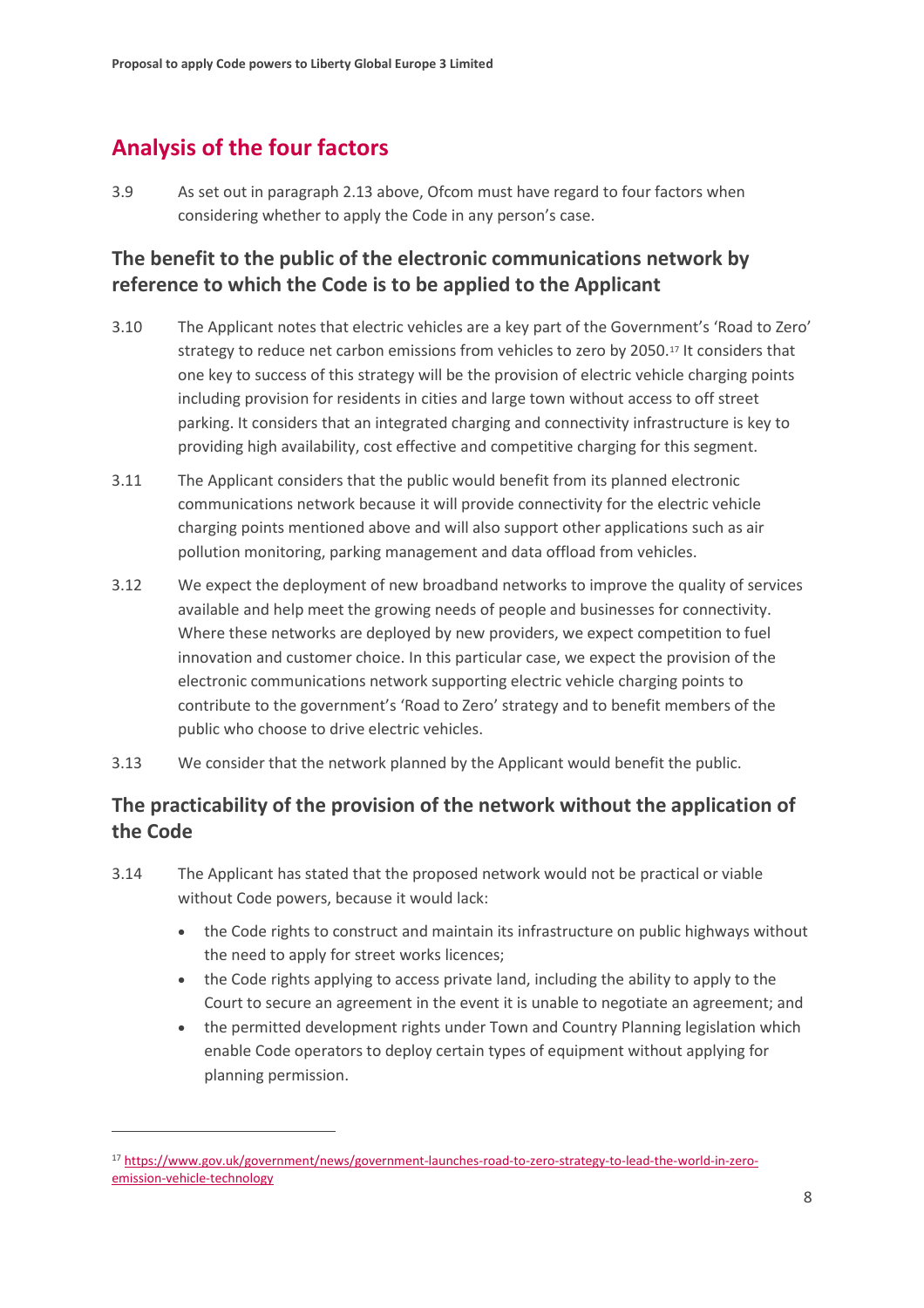## **Analysis of the four factors**

3.9 As set out in paragraph 2.13 above, Ofcom must have regard to four factors when considering whether to apply the Code in any person's case.

## **The benefit to the public of the electronic communications network by reference to which the Code is to be applied to the Applicant**

- 3.10 The Applicant notes that electric vehicles are a key part of the Government's 'Road to Zero' strategy to reduce net carbon emissions from vehicles to zero by 2050[.17](#page-9-0) It considers that one key to success of this strategy will be the provision of electric vehicle charging points including provision for residents in cities and large town without access to off street parking. It considers that an integrated charging and connectivity infrastructure is key to providing high availability, cost effective and competitive charging for this segment.
- 3.11 The Applicant considers that the public would benefit from its planned electronic communications network because it will provide connectivity for the electric vehicle charging points mentioned above and will also support other applications such as air pollution monitoring, parking management and data offload from vehicles.
- 3.12 We expect the deployment of new broadband networks to improve the quality of services available and help meet the growing needs of people and businesses for connectivity. Where these networks are deployed by new providers, we expect competition to fuel innovation and customer choice. In this particular case, we expect the provision of the electronic communications network supporting electric vehicle charging points to contribute to the government's 'Road to Zero' strategy and to benefit members of the public who choose to drive electric vehicles.
- 3.13 We consider that the network planned by the Applicant would benefit the public.

## **The practicability of the provision of the network without the application of the Code**

- 3.14 The Applicant has stated that the proposed network would not be practical or viable without Code powers, because it would lack:
	- the Code rights to construct and maintain its infrastructure on public highways without the need to apply for street works licences;
	- the Code rights applying to access private land, including the ability to apply to the Court to secure an agreement in the event it is unable to negotiate an agreement; and
	- the permitted development rights under Town and Country Planning legislation which enable Code operators to deploy certain types of equipment without applying for planning permission.

<span id="page-9-0"></span><sup>17</sup> [https://www.gov.uk/government/news/government-launches-road-to-zero-strategy-to-lead-the-world-in-zero](https://www.gov.uk/government/news/government-launches-road-to-zero-strategy-to-lead-the-world-in-zero-emission-vehicle-technology)[emission-vehicle-technology](https://www.gov.uk/government/news/government-launches-road-to-zero-strategy-to-lead-the-world-in-zero-emission-vehicle-technology)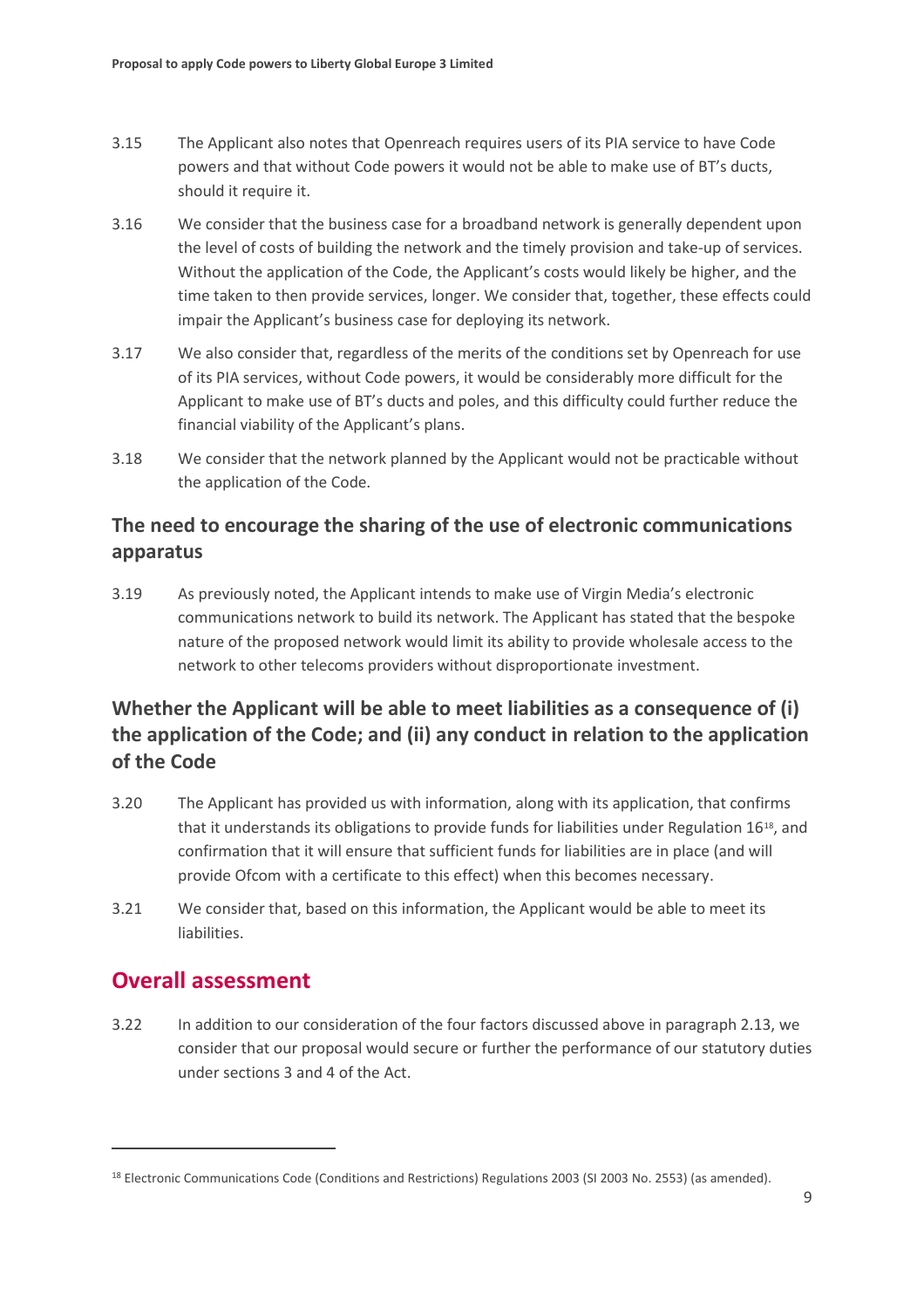- 3.15 The Applicant also notes that Openreach requires users of its PIA service to have Code powers and that without Code powers it would not be able to make use of BT's ducts, should it require it.
- 3.16 We consider that the business case for a broadband network is generally dependent upon the level of costs of building the network and the timely provision and take-up of services. Without the application of the Code, the Applicant's costs would likely be higher, and the time taken to then provide services, longer. We consider that, together, these effects could impair the Applicant's business case for deploying its network.
- 3.17 We also consider that, regardless of the merits of the conditions set by Openreach for use of its PIA services, without Code powers, it would be considerably more difficult for the Applicant to make use of BT's ducts and poles, and this difficulty could further reduce the financial viability of the Applicant's plans.
- 3.18 We consider that the network planned by the Applicant would not be practicable without the application of the Code.

## **The need to encourage the sharing of the use of electronic communications apparatus**

3.19 As previously noted, the Applicant intends to make use of Virgin Media's electronic communications network to build its network. The Applicant has stated that the bespoke nature of the proposed network would limit its ability to provide wholesale access to the network to other telecoms providers without disproportionate investment.

## **Whether the Applicant will be able to meet liabilities as a consequence of (i) the application of the Code; and (ii) any conduct in relation to the application of the Code**

- 3.20 The Applicant has provided us with information, along with its application, that confirms that it understands its obligations to provide funds for liabilities under Regulation 16[18](#page-10-0), and confirmation that it will ensure that sufficient funds for liabilities are in place (and will provide Ofcom with a certificate to this effect) when this becomes necessary.
- 3.21 We consider that, based on this information, the Applicant would be able to meet its liabilities.

## **Overall assessment**

3.22 In addition to our consideration of the four factors discussed above in paragraph 2.13, we consider that our proposal would secure or further the performance of our statutory duties under sections 3 and 4 of the Act.

<span id="page-10-0"></span><sup>&</sup>lt;sup>18</sup> Electronic Communications Code (Conditions and Restrictions) Regulations 2003 (SI 2003 No. 2553) (as amended).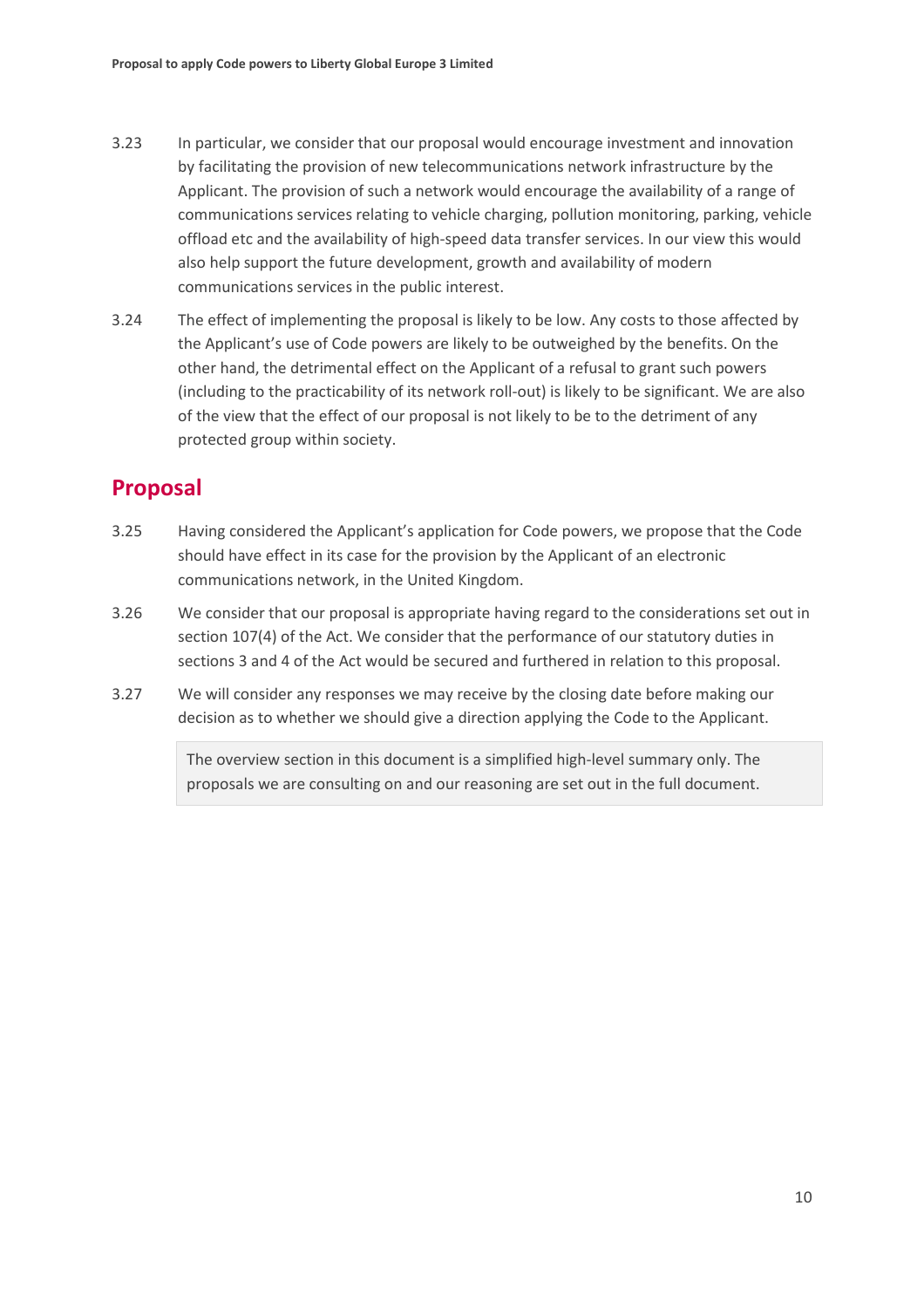- 3.23 In particular, we consider that our proposal would encourage investment and innovation by facilitating the provision of new telecommunications network infrastructure by the Applicant. The provision of such a network would encourage the availability of a range of communications services relating to vehicle charging, pollution monitoring, parking, vehicle offload etc and the availability of high-speed data transfer services. In our view this would also help support the future development, growth and availability of modern communications services in the public interest.
- 3.24 The effect of implementing the proposal is likely to be low. Any costs to those affected by the Applicant's use of Code powers are likely to be outweighed by the benefits. On the other hand, the detrimental effect on the Applicant of a refusal to grant such powers (including to the practicability of its network roll-out) is likely to be significant. We are also of the view that the effect of our proposal is not likely to be to the detriment of any protected group within society.

## **Proposal**

- 3.25 Having considered the Applicant's application for Code powers, we propose that the Code should have effect in its case for the provision by the Applicant of an electronic communications network, in the United Kingdom.
- 3.26 We consider that our proposal is appropriate having regard to the considerations set out in section 107(4) of the Act. We consider that the performance of our statutory duties in sections 3 and 4 of the Act would be secured and furthered in relation to this proposal.
- 3.27 We will consider any responses we may receive by the closing date before making our decision as to whether we should give a direction applying the Code to the Applicant.

The overview section in this document is a simplified high-level summary only. The proposals we are consulting on and our reasoning are set out in the full document.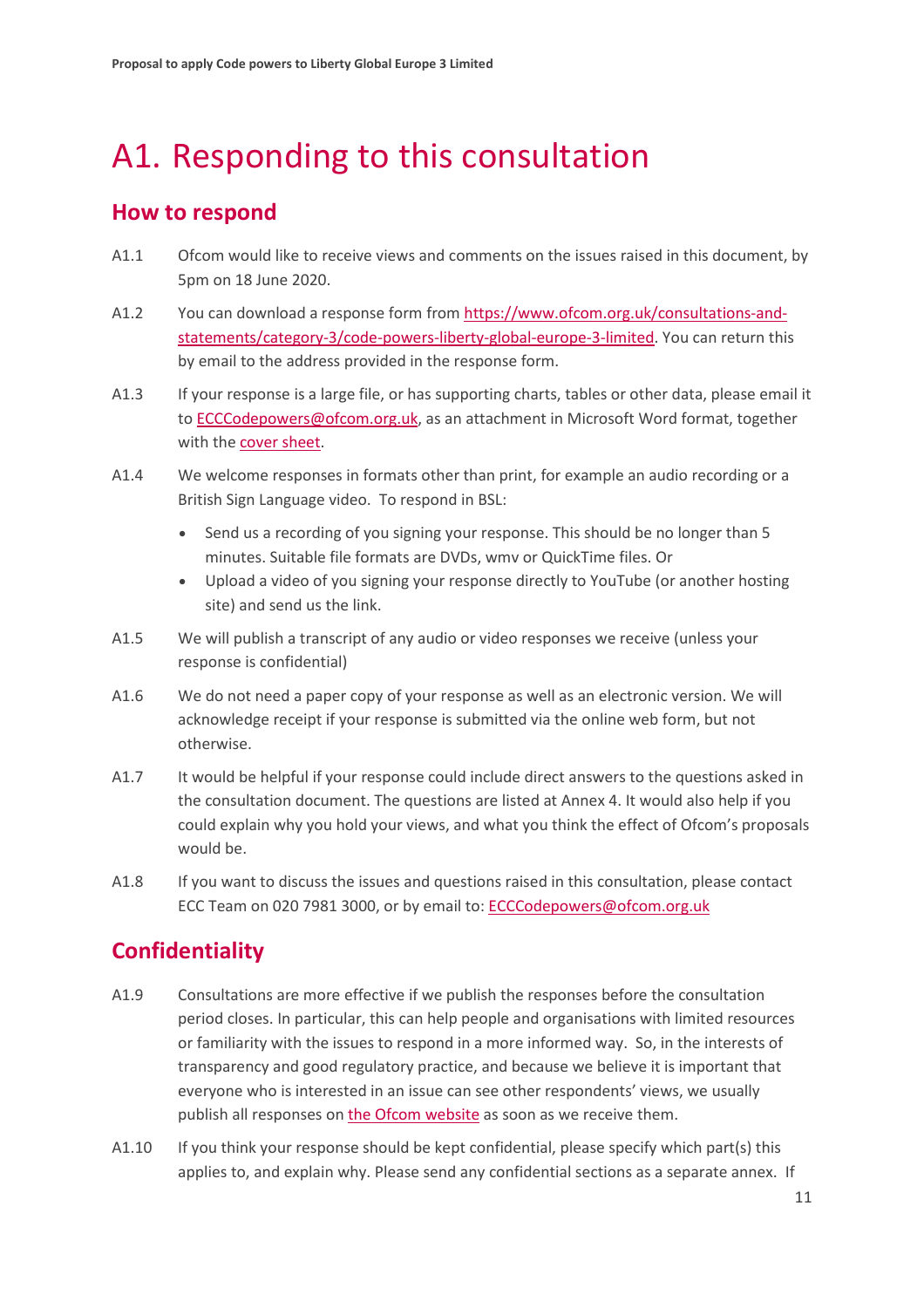# <span id="page-12-0"></span>A1. Responding to this consultation

## **How to respond**

- A1.1 Ofcom would like to receive views and comments on the issues raised in this document, by 5pm on 18 June 2020.
- A1.2 You can download a response form from [https://www.ofcom.org.uk/consultations-and](https://www.ofcom.org.uk/consultations-and-statements/category-3/code-powers-liberty-global-europe-3-limited)[statements/category-3/code-powers-liberty-global-europe-3-limited.](https://www.ofcom.org.uk/consultations-and-statements/category-3/code-powers-liberty-global-europe-3-limited) You can return this by email to the address provided in the response form.
- A1.3 If your response is a large file, or has supporting charts, tables or other data, please email it t[o ECCCodepowers@ofcom.org.uk,](mailto:ECCCodepowers@ofcom.org.uk) as an attachment in Microsoft Word format, together with th[e cover sheet.](https://www.ofcom.org.uk/consultations-and-statements/consultation-response-coversheet)
- A1.4 We welcome responses in formats other than print, for example an audio recording or a British Sign Language video. To respond in BSL:
	- Send us a recording of you signing your response. This should be no longer than 5 minutes. Suitable file formats are DVDs, wmv or QuickTime files. Or
	- Upload a video of you signing your response directly to YouTube (or another hosting site) and send us the link.
- A1.5 We will publish a transcript of any audio or video responses we receive (unless your response is confidential)
- A1.6 We do not need a paper copy of your response as well as an electronic version. We will acknowledge receipt if your response is submitted via the online web form, but not otherwise.
- A1.7 It would be helpful if your response could include direct answers to the questions asked in the consultation document. The questions are listed at Annex 4. It would also help if you could explain why you hold your views, and what you think the effect of Ofcom's proposals would be.
- A1.8 If you want to discuss the issues and questions raised in this consultation, please contact ECC Team on 020 7981 3000, or by email to[: ECCCodepowers@ofcom.org.uk](mailto:ECCCodepowers@ofcom.org.uk)

# **Confidentiality**

- A1.9 Consultations are more effective if we publish the responses before the consultation period closes. In particular, this can help people and organisations with limited resources or familiarity with the issues to respond in a more informed way. So, in the interests of transparency and good regulatory practice, and because we believe it is important that everyone who is interested in an issue can see other respondents' views, we usually publish all responses on [the Ofcom website](http://www.ofcom.org.uk/) as soon as we receive them.
- A1.10 If you think your response should be kept confidential, please specify which part(s) this applies to, and explain why. Please send any confidential sections as a separate annex. If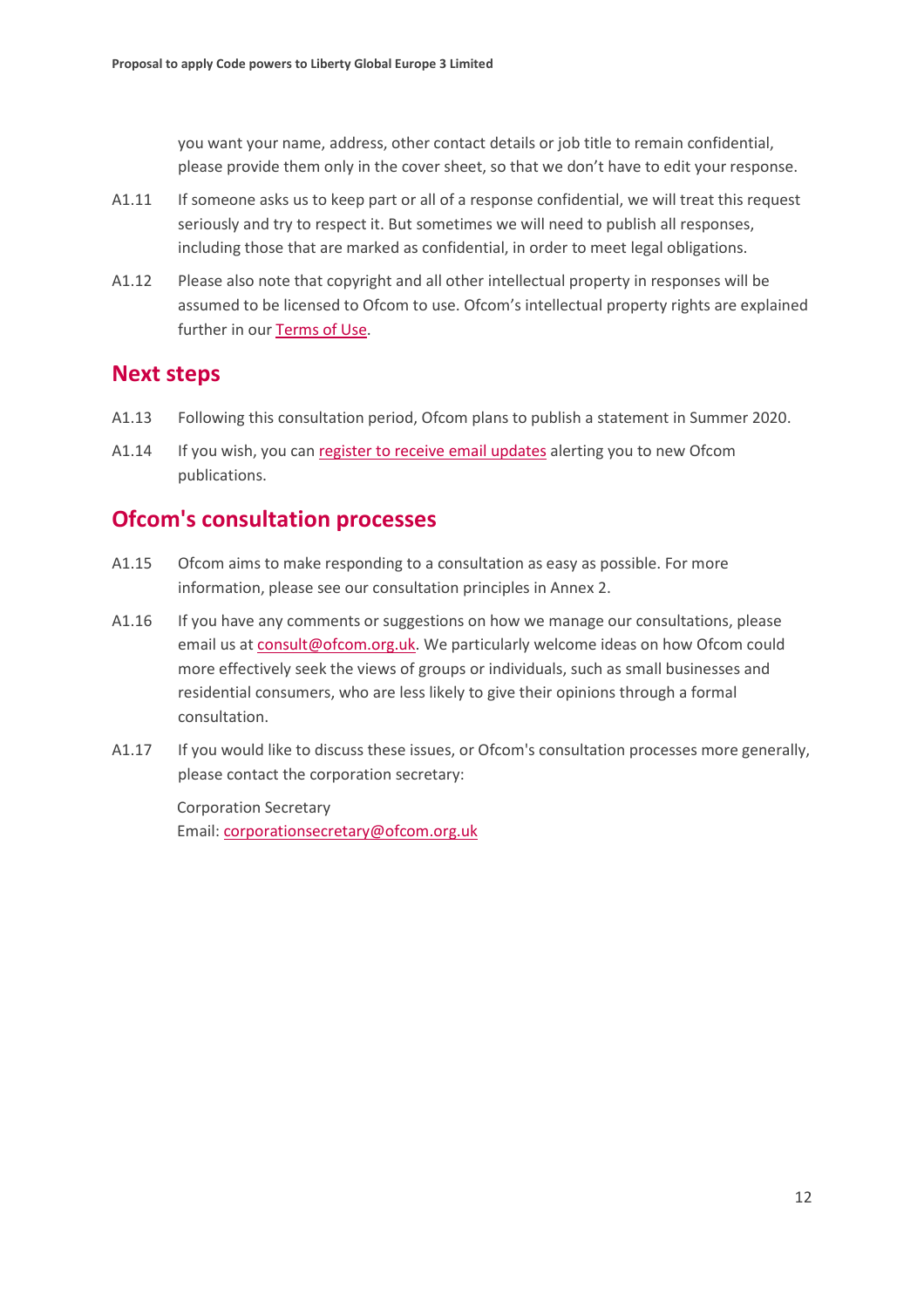you want your name, address, other contact details or job title to remain confidential, please provide them only in the cover sheet, so that we don't have to edit your response.

- A1.11 If someone asks us to keep part or all of a response confidential, we will treat this request seriously and try to respect it. But sometimes we will need to publish all responses, including those that are marked as confidential, in order to meet legal obligations.
- A1.12 Please also note that copyright and all other intellectual property in responses will be assumed to be licensed to Ofcom to use. Ofcom's intellectual property rights are explained further in ou[r Terms of Use.](https://www.ofcom.org.uk/about-ofcom/website/terms-of-use)

## **Next steps**

- A1.13 Following this consultation period, Ofcom plans to publish a statement in Summer 2020.
- A1.14 If you wish, you can [register to receive email updates](https://www.ofcom.org.uk/about-ofcom/latest/email-updates) alerting you to new Ofcom publications.

## **Ofcom's consultation processes**

- A1.15 Ofcom aims to make responding to a consultation as easy as possible. For more information, please see our consultation principles in Annex 2.
- A1.16 If you have any comments or suggestions on how we manage our consultations, please email us a[t consult@ofcom.org.uk.](mailto:consult@ofcom.org.uk) We particularly welcome ideas on how Ofcom could more effectively seek the views of groups or individuals, such as small businesses and residential consumers, who are less likely to give their opinions through a formal consultation.
- A1.17 If you would like to discuss these issues, or Ofcom's consultation processes more generally, please contact the corporation secretary:

Corporation Secretary Email: [corporationsecretary@ofcom.org.uk](mailto:corporationsecretary@ofcom.org.uk)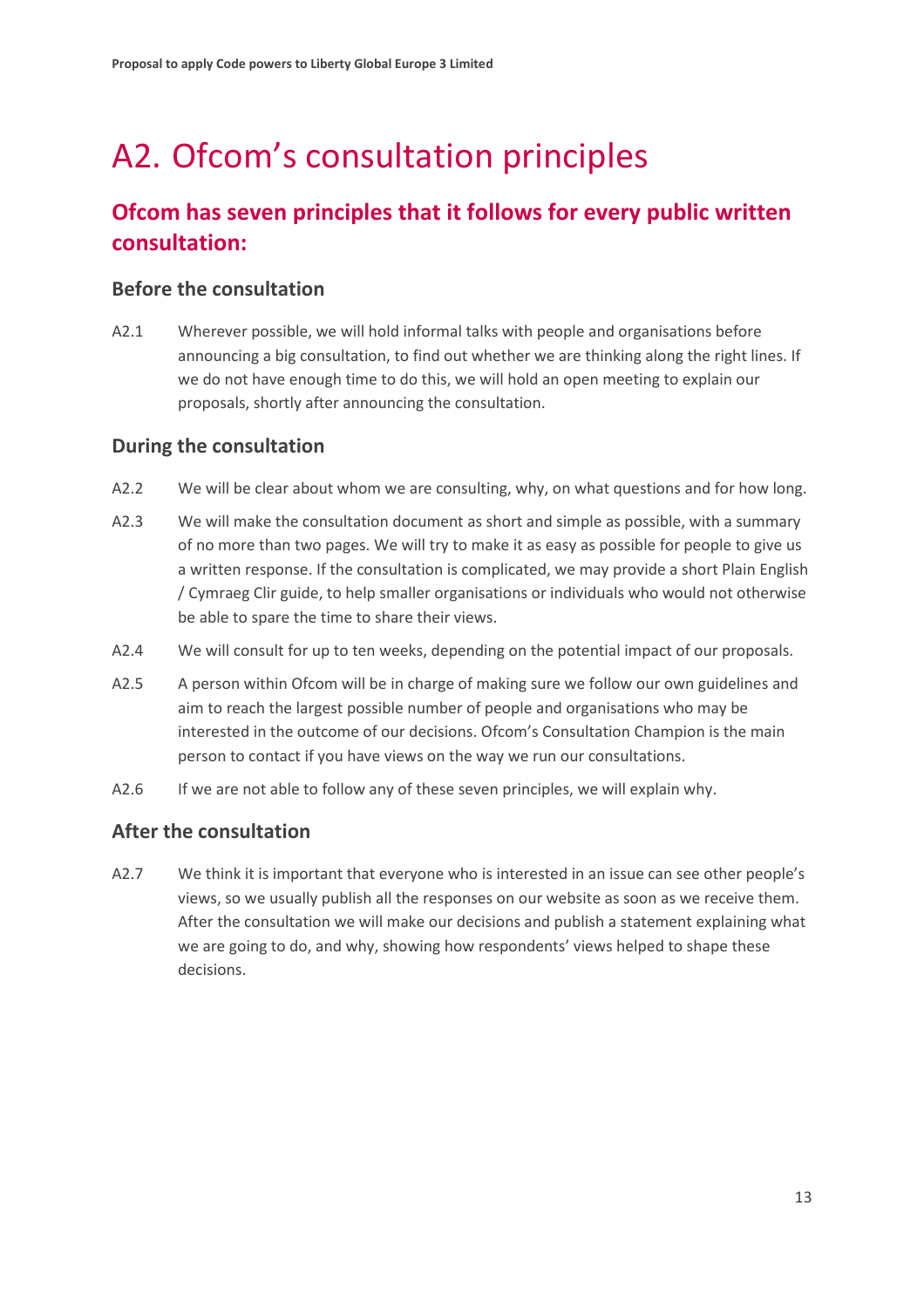# <span id="page-14-0"></span>A2. Ofcom's consultation principles

## **Ofcom has seven principles that it follows for every public written consultation:**

### **Before the consultation**

A2.1 Wherever possible, we will hold informal talks with people and organisations before announcing a big consultation, to find out whether we are thinking along the right lines. If we do not have enough time to do this, we will hold an open meeting to explain our proposals, shortly after announcing the consultation.

### **During the consultation**

- A2.2 We will be clear about whom we are consulting, why, on what questions and for how long.
- A2.3 We will make the consultation document as short and simple as possible, with a summary of no more than two pages. We will try to make it as easy as possible for people to give us a written response. If the consultation is complicated, we may provide a short Plain English / Cymraeg Clir guide, to help smaller organisations or individuals who would not otherwise be able to spare the time to share their views.
- A2.4 We will consult for up to ten weeks, depending on the potential impact of our proposals.
- A2.5 A person within Ofcom will be in charge of making sure we follow our own guidelines and aim to reach the largest possible number of people and organisations who may be interested in the outcome of our decisions. Ofcom's Consultation Champion is the main person to contact if you have views on the way we run our consultations.
- A2.6 If we are not able to follow any of these seven principles, we will explain why.

### **After the consultation**

A2.7 We think it is important that everyone who is interested in an issue can see other people's views, so we usually publish all the responses on our website as soon as we receive them. After the consultation we will make our decisions and publish a statement explaining what we are going to do, and why, showing how respondents' views helped to shape these decisions.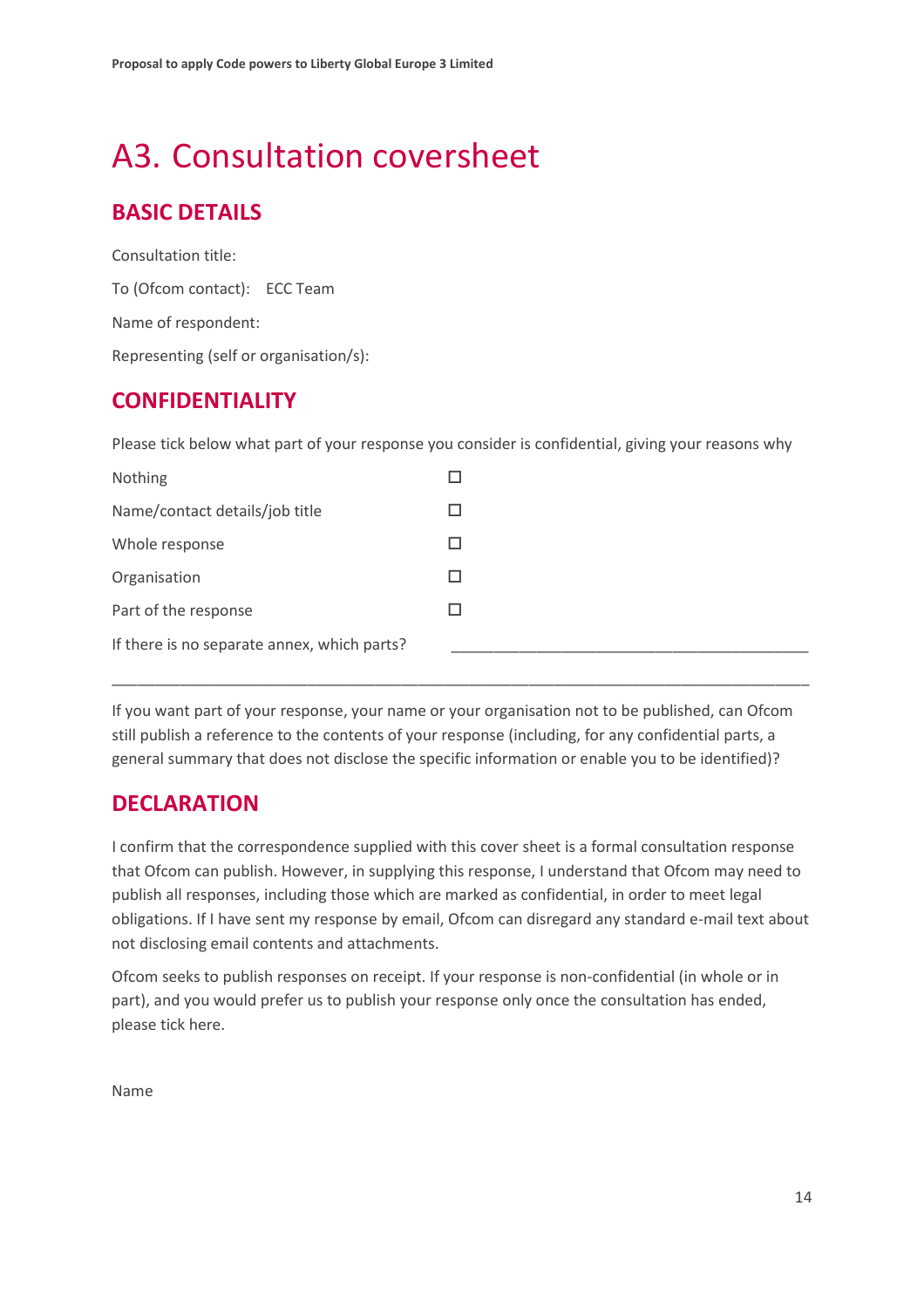# <span id="page-15-0"></span>A3. Consultation coversheet

# **BASIC DETAILS**

Consultation title: To (Ofcom contact): ECC Team Name of respondent: Representing (self or organisation/s):

## **CONFIDENTIALITY**

Please tick below what part of your response you consider is confidential, giving your reasons why

| Nothing                                     |  |
|---------------------------------------------|--|
| Name/contact details/job title              |  |
| Whole response                              |  |
| Organisation                                |  |
| Part of the response                        |  |
| If there is no separate annex, which parts? |  |
|                                             |  |

If you want part of your response, your name or your organisation not to be published, can Ofcom still publish a reference to the contents of your response (including, for any confidential parts, a general summary that does not disclose the specific information or enable you to be identified)?

\_\_\_\_\_\_\_\_\_\_\_\_\_\_\_\_\_\_\_\_\_\_\_\_\_\_\_\_\_\_\_\_\_\_\_\_\_\_\_\_\_\_\_\_\_\_\_\_\_\_\_\_\_\_\_\_\_\_\_\_\_\_\_\_\_\_\_\_\_\_\_\_\_\_\_\_\_\_\_\_\_\_

## **DECLARATION**

I confirm that the correspondence supplied with this cover sheet is a formal consultation response that Ofcom can publish. However, in supplying this response, I understand that Ofcom may need to publish all responses, including those which are marked as confidential, in order to meet legal obligations. If I have sent my response by email, Ofcom can disregard any standard e-mail text about not disclosing email contents and attachments.

Ofcom seeks to publish responses on receipt. If your response is non-confidential (in whole or in part), and you would prefer us to publish your response only once the consultation has ended, please tick here.

Name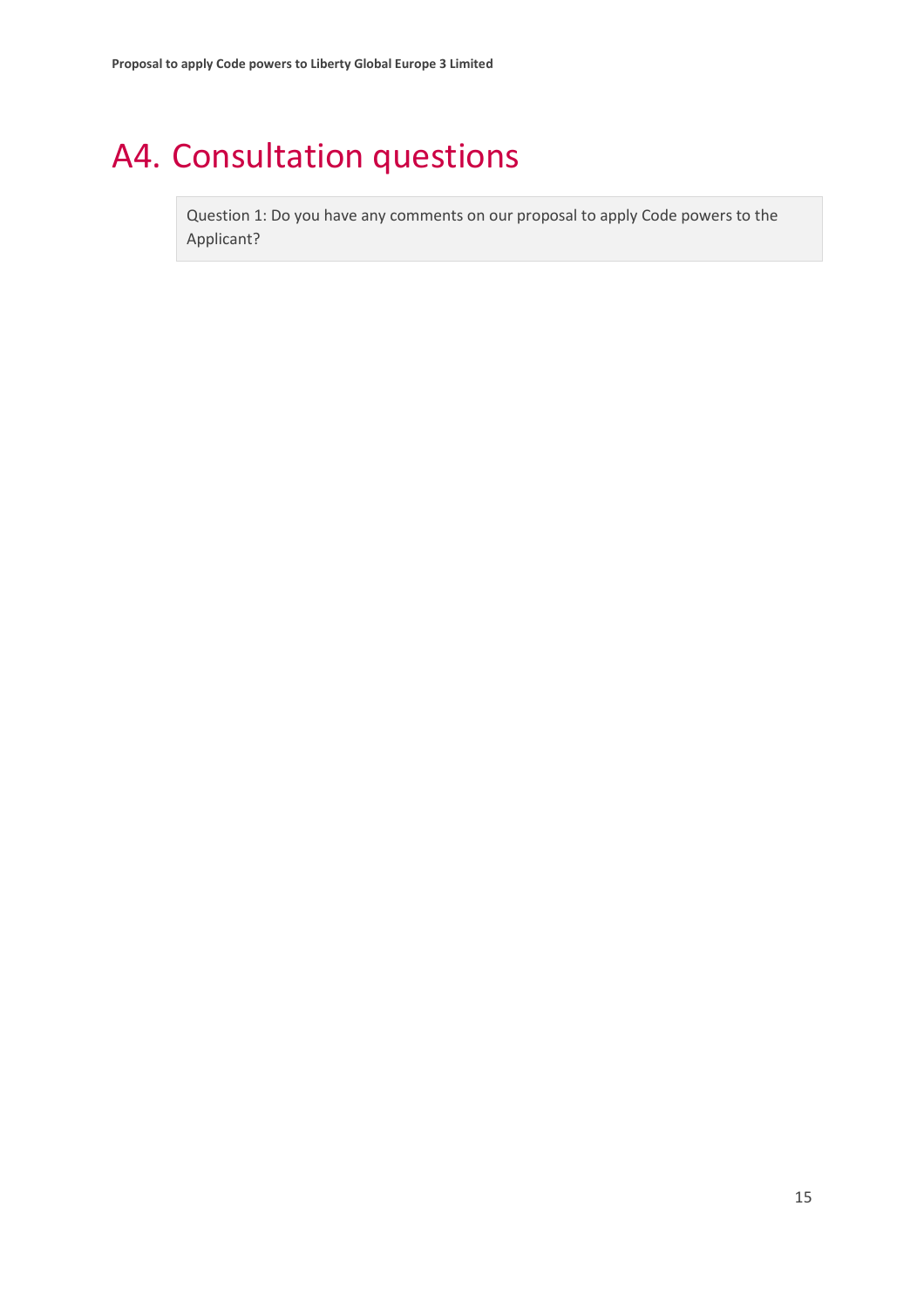# <span id="page-16-0"></span>A4. Consultation questions

Question 1: Do you have any comments on our proposal to apply Code powers to the Applicant?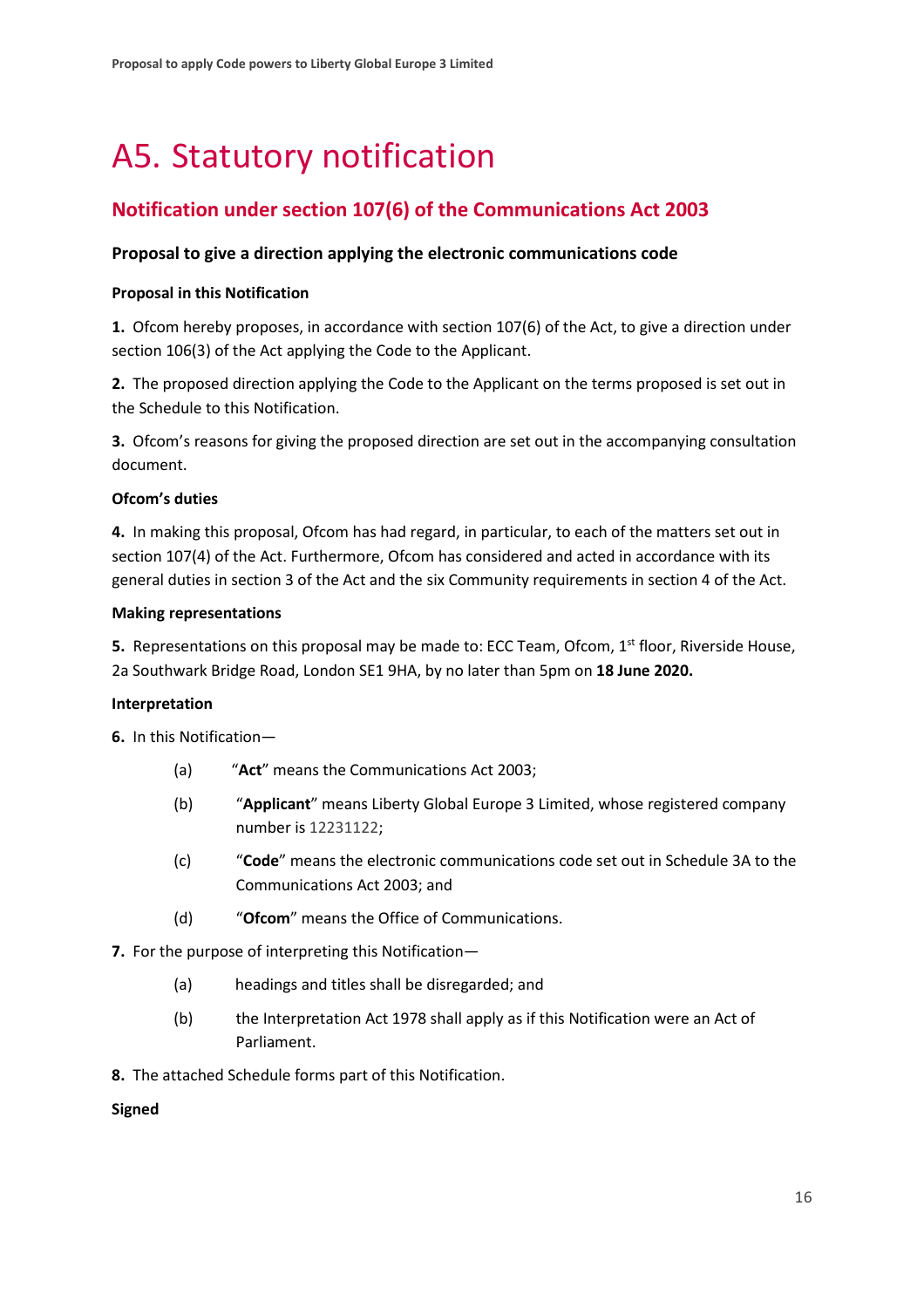# <span id="page-17-0"></span>A5. Statutory notification

### **Notification under section 107(6) of the Communications Act 2003**

### **Proposal to give a direction applying the electronic communications code**

#### **Proposal in this Notification**

**1.** Ofcom hereby proposes, in accordance with section 107(6) of the Act, to give a direction under section 106(3) of the Act applying the Code to the Applicant.

**2.** The proposed direction applying the Code to the Applicant on the terms proposed is set out in the Schedule to this Notification.

**3.** Ofcom's reasons for giving the proposed direction are set out in the accompanying consultation document.

#### **Ofcom's duties**

**4.** In making this proposal, Ofcom has had regard, in particular, to each of the matters set out in section 107(4) of the Act. Furthermore, Ofcom has considered and acted in accordance with its general duties in section 3 of the Act and the six Community requirements in section 4 of the Act.

#### **Making representations**

**5.** Representations on this proposal may be made to: ECC Team, Ofcom, 1<sup>st</sup> floor, Riverside House, 2a Southwark Bridge Road, London SE1 9HA, by no later than 5pm on **18 June 2020.**

### **Interpretation**

**6.** In this Notification—

- (a) "**Act**" means the Communications Act 2003;
- (b) "**Applicant**" means Liberty Global Europe 3 Limited, whose registered company number is 12231122;
- (c) "**Code**" means the electronic communications code set out in Schedule 3A to the Communications Act 2003; and
- (d) "**Ofcom**" means the Office of Communications.
- **7.** For the purpose of interpreting this Notification—
	- (a) headings and titles shall be disregarded; and
	- (b) the Interpretation Act 1978 shall apply as if this Notification were an Act of Parliament.
- **8.** The attached Schedule forms part of this Notification.

#### **Signed**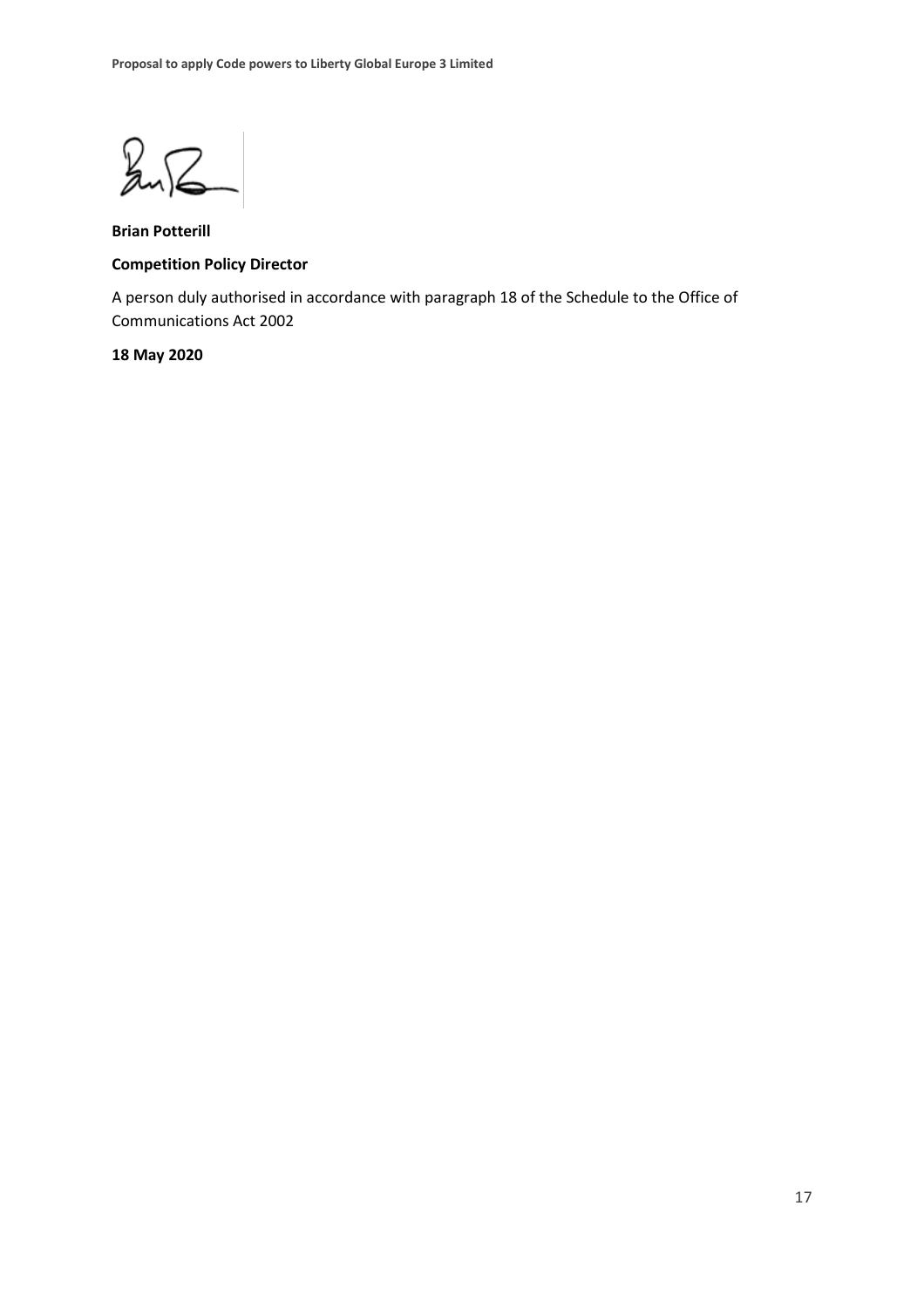$247$ 

**Brian Potterill Competition Policy Director**

A person duly authorised in accordance with paragraph 18 of the Schedule to the Office of Communications Act 2002

#### **18 May 2020**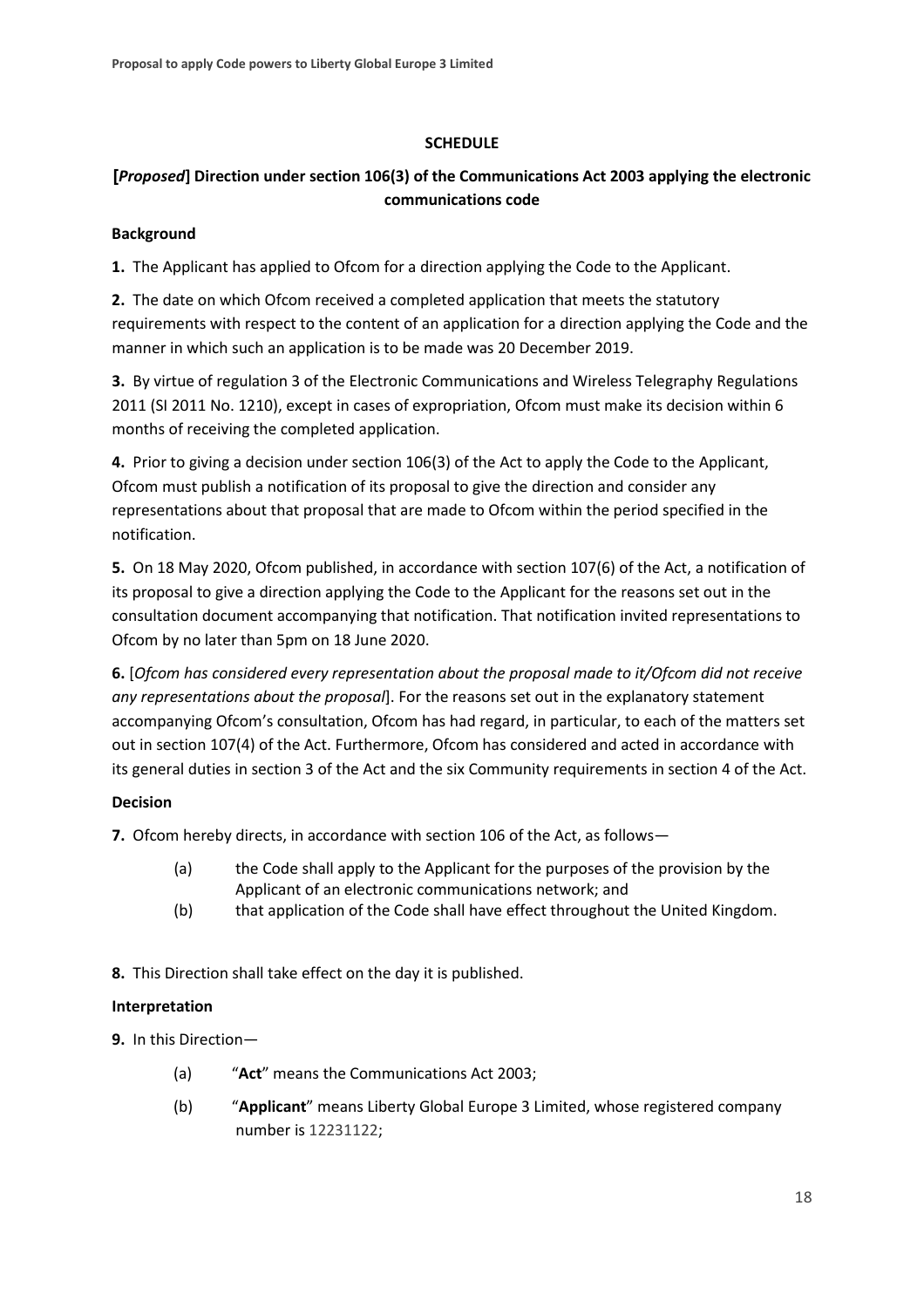### **SCHEDULE**

### **[***Proposed***] Direction under section 106(3) of the Communications Act 2003 applying the electronic communications code**

### **Background**

**1.** The Applicant has applied to Ofcom for a direction applying the Code to the Applicant.

**2.** The date on which Ofcom received a completed application that meets the statutory requirements with respect to the content of an application for a direction applying the Code and the manner in which such an application is to be made was 20 December 2019.

**3.** By virtue of regulation 3 of the Electronic Communications and Wireless Telegraphy Regulations 2011 (SI 2011 No. 1210), except in cases of expropriation, Ofcom must make its decision within 6 months of receiving the completed application.

**4.** Prior to giving a decision under section 106(3) of the Act to apply the Code to the Applicant, Ofcom must publish a notification of its proposal to give the direction and consider any representations about that proposal that are made to Ofcom within the period specified in the notification.

**5.** On 18 May 2020, Ofcom published, in accordance with section 107(6) of the Act, a notification of its proposal to give a direction applying the Code to the Applicant for the reasons set out in the consultation document accompanying that notification. That notification invited representations to Ofcom by no later than 5pm on 18 June 2020.

**6.** [*Ofcom has considered every representation about the proposal made to it/Ofcom did not receive any representations about the proposal*]. For the reasons set out in the explanatory statement accompanying Ofcom's consultation, Ofcom has had regard, in particular, to each of the matters set out in section 107(4) of the Act. Furthermore, Ofcom has considered and acted in accordance with its general duties in section 3 of the Act and the six Community requirements in section 4 of the Act.

### **Decision**

**7.** Ofcom hereby directs, in accordance with section 106 of the Act, as follows—

- (a) the Code shall apply to the Applicant for the purposes of the provision by the Applicant of an electronic communications network; and
- (b) that application of the Code shall have effect throughout the United Kingdom.
- **8.** This Direction shall take effect on the day it is published.

### **Interpretation**

**9.** In this Direction—

- (a) "**Act**" means the Communications Act 2003;
- (b) "**Applicant**" means Liberty Global Europe 3 Limited, whose registered company number is 12231122;